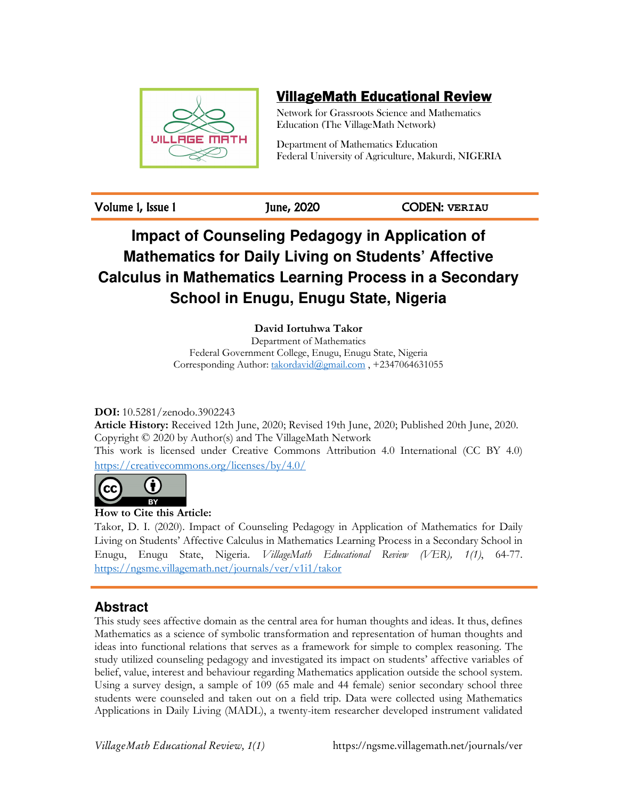

## VillageMath Educational Review

Network for Grassroots Science and Mathematics Education (The VillageMath Network)

Department of Mathematics Education Federal University of Agriculture, Makurdi, NIGERIA

Volume 1, Issue 1 June, 2020 CODEN: **VERIAU**

# **Impact of Counseling Pedagogy in Application of Mathematics for Daily Living on Students' Affective Calculus in Mathematics Learning Process in a Secondary School in Enugu, Enugu State, Nigeria**

**David Iortuhwa Takor** 

Department of Mathematics Federal Government College, Enugu, Enugu State, Nigeria Corresponding Author: takordavid@gmail.com, +2347064631055

**DOI:** 10.5281/zenodo.3902243

**Article History:** Received 12th June, 2020; Revised 19th June, 2020; Published 20th June, 2020. Copyright © 2020 by Author(s) and The VillageMath Network This work is licensed under Creative Commons Attribution 4.0 International (CC BY 4.0) https://creativecommons.org/licenses/by/4.0/



**How to Cite this Article:** 

Takor, D. I. (2020). Impact of Counseling Pedagogy in Application of Mathematics for Daily Living on Students' Affective Calculus in Mathematics Learning Process in a Secondary School in Enugu, Enugu State, Nigeria. *VillageMath Educational Review (VER), 1(1)*, 64-77. https://ngsme.villagemath.net/journals/ver/v1i1/takor

## **Abstract**

This study sees affective domain as the central area for human thoughts and ideas. It thus, defines Mathematics as a science of symbolic transformation and representation of human thoughts and ideas into functional relations that serves as a framework for simple to complex reasoning. The study utilized counseling pedagogy and investigated its impact on students' affective variables of belief, value, interest and behaviour regarding Mathematics application outside the school system. Using a survey design, a sample of 109 (65 male and 44 female) senior secondary school three students were counseled and taken out on a field trip. Data were collected using Mathematics Applications in Daily Living (MADL), a twenty-item researcher developed instrument validated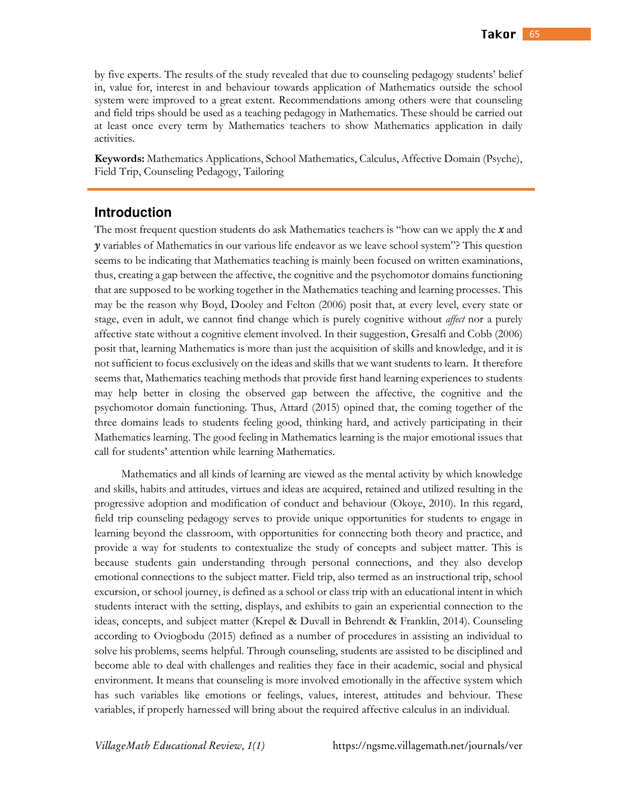by five experts. The results of the study revealed that due to counseling pedagogy students' belief in, value for, interest in and behaviour towards application of Mathematics outside the school system were improved to a great extent. Recommendations among others were that counseling and field trips should be used as a teaching pedagogy in Mathematics. These should be carried out at least once every term by Mathematics teachers to show Mathematics application in daily activities.

**Keywords:** Mathematics Applications, School Mathematics, Calculus, Affective Domain (Psyche), Field Trip, Counseling Pedagogy, Tailoring

#### **Introduction**

The most frequent question students do ask Mathematics teachers is "how can we apply the *x* and *y* variables of Mathematics in our various life endeavor as we leave school system"? This question seems to be indicating that Mathematics teaching is mainly been focused on written examinations, thus, creating a gap between the affective, the cognitive and the psychomotor domains functioning that are supposed to be working together in the Mathematics teaching and learning processes. This may be the reason why Boyd, Dooley and Felton (2006) posit that, at every level, every state or stage, even in adult, we cannot find change which is purely cognitive without *affect* nor a purely affective state without a cognitive element involved. In their suggestion, Gresalfi and Cobb (2006) posit that, learning Mathematics is more than just the acquisition of skills and knowledge, and it is not sufficient to focus exclusively on the ideas and skills that we want students to learn. It therefore seems that, Mathematics teaching methods that provide first hand learning experiences to students may help better in closing the observed gap between the affective, the cognitive and the psychomotor domain functioning. Thus, Attard (2015) opined that, the coming together of the three domains leads to students feeling good, thinking hard, and actively participating in their Mathematics learning. The good feeling in Mathematics learning is the major emotional issues that call for students' attention while learning Mathematics.

Mathematics and all kinds of learning are viewed as the mental activity by which knowledge and skills, habits and attitudes, virtues and ideas are acquired, retained and utilized resulting in the progressive adoption and modification of conduct and behaviour (Okoye, 2010). In this regard, field trip counseling pedagogy serves to provide unique opportunities for students to engage in learning beyond the classroom, with opportunities for connecting both theory and practice, and provide a way for students to contextualize the study of concepts and subject matter. This is because students gain understanding through personal connections, and they also develop emotional connections to the subject matter. Field trip, also termed as an instructional trip, school excursion, or school journey, is defined as a school or class trip with an educational intent in which students interact with the setting, displays, and exhibits to gain an experiential connection to the ideas, concepts, and subject matter (Krepel & Duvall in Behrendt & Franklin, 2014). Counseling according to Oviogbodu (2015) defined as a number of procedures in assisting an individual to solve his problems, seems helpful. Through counseling, students are assisted to be disciplined and become able to deal with challenges and realities they face in their academic, social and physical environment. It means that counseling is more involved emotionally in the affective system which has such variables like emotions or feelings, values, interest, attitudes and behviour. These variables, if properly harnessed will bring about the required affective calculus in an individual.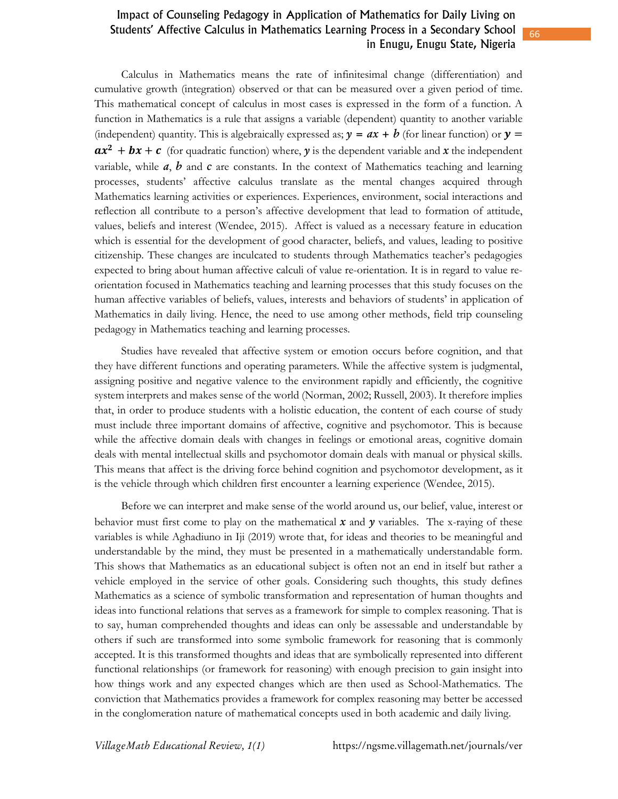Calculus in Mathematics means the rate of infinitesimal change (differentiation) and cumulative growth (integration) observed or that can be measured over a given period of time. This mathematical concept of calculus in most cases is expressed in the form of a function. A function in Mathematics is a rule that assigns a variable (dependent) quantity to another variable (independent) quantity. This is algebraically expressed as;  $y = ax + b$  (for linear function) or  $y =$  $ax^2 + bx + c$  (for quadratic function) where, *y* is the dependent variable and *x* the independent variable, while *a*, *b* and *c* are constants. In the context of Mathematics teaching and learning processes, students' affective calculus translate as the mental changes acquired through Mathematics learning activities or experiences. Experiences, environment, social interactions and reflection all contribute to a person's affective development that lead to formation of attitude, values, beliefs and interest (Wendee, 2015). Affect is valued as a necessary feature in education which is essential for the development of good character, beliefs, and values, leading to positive citizenship. These changes are inculcated to students through Mathematics teacher's pedagogies expected to bring about human affective calculi of value re-orientation. It is in regard to value reorientation focused in Mathematics teaching and learning processes that this study focuses on the human affective variables of beliefs, values, interests and behaviors of students' in application of Mathematics in daily living. Hence, the need to use among other methods, field trip counseling pedagogy in Mathematics teaching and learning processes.

Studies have revealed that affective system or emotion occurs before cognition, and that they have different functions and operating parameters. While the affective system is judgmental, assigning positive and negative valence to the environment rapidly and efficiently, the cognitive system interprets and makes sense of the world (Norman, 2002; Russell, 2003). It therefore implies that, in order to produce students with a holistic education, the content of each course of study must include three important domains of affective, cognitive and psychomotor. This is because while the affective domain deals with changes in feelings or emotional areas, cognitive domain deals with mental intellectual skills and psychomotor domain deals with manual or physical skills. This means that affect is the driving force behind cognition and psychomotor development, as it is the vehicle through which children first encounter a learning experience (Wendee, 2015).

Before we can interpret and make sense of the world around us, our belief, value, interest or behavior must first come to play on the mathematical  $x$  and  $y$  variables. The x-raying of these variables is while Aghadiuno in Iji (2019) wrote that, for ideas and theories to be meaningful and understandable by the mind, they must be presented in a mathematically understandable form. This shows that Mathematics as an educational subject is often not an end in itself but rather a vehicle employed in the service of other goals. Considering such thoughts, this study defines Mathematics as a science of symbolic transformation and representation of human thoughts and ideas into functional relations that serves as a framework for simple to complex reasoning. That is to say, human comprehended thoughts and ideas can only be assessable and understandable by others if such are transformed into some symbolic framework for reasoning that is commonly accepted. It is this transformed thoughts and ideas that are symbolically represented into different functional relationships (or framework for reasoning) with enough precision to gain insight into how things work and any expected changes which are then used as School-Mathematics. The conviction that Mathematics provides a framework for complex reasoning may better be accessed in the conglomeration nature of mathematical concepts used in both academic and daily living.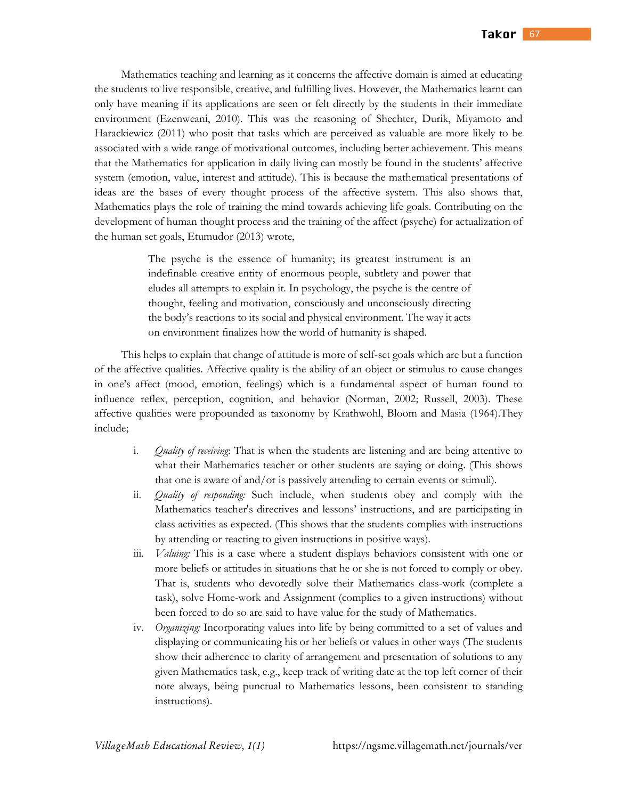Mathematics teaching and learning as it concerns the affective domain is aimed at educating the students to live responsible, creative, and fulfilling lives. However, the Mathematics learnt can only have meaning if its applications are seen or felt directly by the students in their immediate environment (Ezenweani, 2010). This was the reasoning of Shechter, Durik, Miyamoto and Harackiewicz (2011) who posit that tasks which are perceived as valuable are more likely to be associated with a wide range of motivational outcomes, including better achievement. This means that the Mathematics for application in daily living can mostly be found in the students' affective system (emotion, value, interest and attitude). This is because the mathematical presentations of ideas are the bases of every thought process of the affective system. This also shows that, Mathematics plays the role of training the mind towards achieving life goals. Contributing on the development of human thought process and the training of the affect (psyche) for actualization of the human set goals, Etumudor (2013) wrote,

> The psyche is the essence of humanity; its greatest instrument is an indefinable creative entity of enormous people, subtlety and power that eludes all attempts to explain it. In psychology, the psyche is the centre of thought, feeling and motivation, consciously and unconsciously directing the body's reactions to its social and physical environment. The way it acts on environment finalizes how the world of humanity is shaped.

This helps to explain that change of attitude is more of self-set goals which are but a function of the affective qualities. Affective quality is the ability of an object or stimulus to cause changes in one's affect (mood, emotion, feelings) which is a fundamental aspect of human found to influence reflex, perception, cognition, and behavior (Norman, 2002; Russell, 2003). These affective qualities were propounded as taxonomy by Krathwohl, Bloom and Masia (1964).They include;

- i. *Quality of receiving*: That is when the students are listening and are being attentive to what their Mathematics teacher or other students are saying or doing. (This shows that one is aware of and/or is passively attending to certain events or stimuli).
- ii. *Quality of responding:* Such include, when students obey and comply with the Mathematics teacher's directives and lessons' instructions, and are participating in class activities as expected. (This shows that the students complies with instructions by attending or reacting to given instructions in positive ways).
- iii. *Valuing:* This is a case where a student displays behaviors consistent with one or more beliefs or attitudes in situations that he or she is not forced to comply or obey. That is, students who devotedly solve their Mathematics class-work (complete a task), solve Home-work and Assignment (complies to a given instructions) without been forced to do so are said to have value for the study of Mathematics.
- iv. *Organizing:* Incorporating values into life by being committed to a set of values and displaying or communicating his or her beliefs or values in other ways (The students show their adherence to clarity of arrangement and presentation of solutions to any given Mathematics task, e.g., keep track of writing date at the top left corner of their note always, being punctual to Mathematics lessons, been consistent to standing instructions).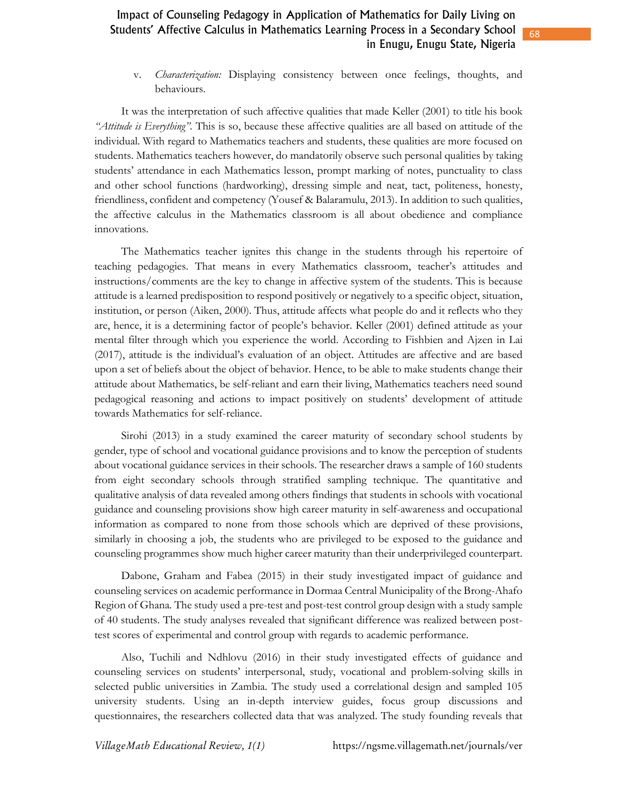v. *Characterization:* Displaying consistency between once feelings, thoughts, and behaviours.

It was the interpretation of such affective qualities that made Keller (2001) to title his book *"Attitude is Everything"*. This is so, because these affective qualities are all based on attitude of the individual. With regard to Mathematics teachers and students, these qualities are more focused on students. Mathematics teachers however, do mandatorily observe such personal qualities by taking students' attendance in each Mathematics lesson, prompt marking of notes, punctuality to class and other school functions (hardworking), dressing simple and neat, tact, politeness, honesty, friendliness, confident and competency (Yousef & Balaramulu, 2013). In addition to such qualities, the affective calculus in the Mathematics classroom is all about obedience and compliance innovations.

The Mathematics teacher ignites this change in the students through his repertoire of teaching pedagogies. That means in every Mathematics classroom, teacher's attitudes and instructions/comments are the key to change in affective system of the students. This is because attitude is a learned predisposition to respond positively or negatively to a specific object, situation, institution, or person (Aiken, 2000). Thus, attitude affects what people do and it reflects who they are, hence, it is a determining factor of people's behavior. Keller (2001) defined attitude as your mental filter through which you experience the world. According to Fishbien and Ajzen in Lai (2017), attitude is the individual's evaluation of an object. Attitudes are affective and are based upon a set of beliefs about the object of behavior. Hence, to be able to make students change their attitude about Mathematics, be self-reliant and earn their living, Mathematics teachers need sound pedagogical reasoning and actions to impact positively on students' development of attitude towards Mathematics for self-reliance.

Sirohi (2013) in a study examined the career maturity of secondary school students by gender, type of school and vocational guidance provisions and to know the perception of students about vocational guidance services in their schools. The researcher draws a sample of 160 students from eight secondary schools through stratified sampling technique. The quantitative and qualitative analysis of data revealed among others findings that students in schools with vocational guidance and counseling provisions show high career maturity in self-awareness and occupational information as compared to none from those schools which are deprived of these provisions, similarly in choosing a job, the students who are privileged to be exposed to the guidance and counseling programmes show much higher career maturity than their underprivileged counterpart.

Dabone, Graham and Fabea (2015) in their study investigated impact of guidance and counseling services on academic performance in Dormaa Central Municipality of the Brong-Ahafo Region of Ghana. The study used a pre-test and post-test control group design with a study sample of 40 students. The study analyses revealed that significant difference was realized between posttest scores of experimental and control group with regards to academic performance.

Also, Tuchili and Ndhlovu (2016) in their study investigated effects of guidance and counseling services on students' interpersonal, study, vocational and problem-solving skills in selected public universities in Zambia. The study used a correlational design and sampled 105 university students. Using an in-depth interview guides, focus group discussions and questionnaires, the researchers collected data that was analyzed. The study founding reveals that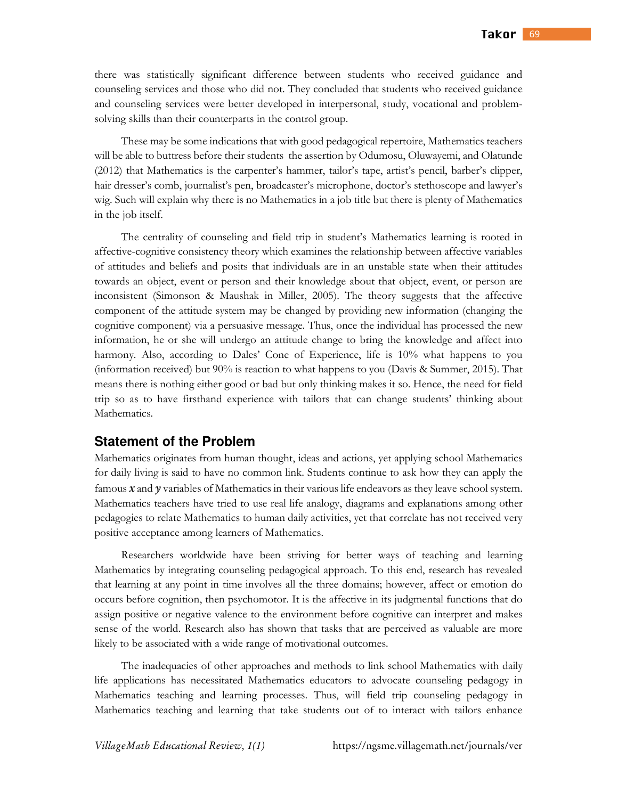there was statistically significant difference between students who received guidance and counseling services and those who did not. They concluded that students who received guidance and counseling services were better developed in interpersonal, study, vocational and problemsolving skills than their counterparts in the control group.

These may be some indications that with good pedagogical repertoire, Mathematics teachers will be able to buttress before their students the assertion by Odumosu, Oluwayemi, and Olatunde (2012) that Mathematics is the carpenter's hammer, tailor's tape, artist's pencil, barber's clipper, hair dresser's comb, journalist's pen, broadcaster's microphone, doctor's stethoscope and lawyer's wig. Such will explain why there is no Mathematics in a job title but there is plenty of Mathematics in the job itself.

The centrality of counseling and field trip in student's Mathematics learning is rooted in affective-cognitive consistency theory which examines the relationship between affective variables of attitudes and beliefs and posits that individuals are in an unstable state when their attitudes towards an object, event or person and their knowledge about that object, event, or person are inconsistent (Simonson & Maushak in Miller, 2005). The theory suggests that the affective component of the attitude system may be changed by providing new information (changing the cognitive component) via a persuasive message. Thus, once the individual has processed the new information, he or she will undergo an attitude change to bring the knowledge and affect into harmony. Also, according to Dales' Cone of Experience, life is 10% what happens to you (information received) but 90% is reaction to what happens to you (Davis & Summer, 2015). That means there is nothing either good or bad but only thinking makes it so. Hence, the need for field trip so as to have firsthand experience with tailors that can change students' thinking about Mathematics.

#### **Statement of the Problem**

Mathematics originates from human thought, ideas and actions, yet applying school Mathematics for daily living is said to have no common link. Students continue to ask how they can apply the famous *x* and *y* variables of Mathematics in their various life endeavors as they leave school system. Mathematics teachers have tried to use real life analogy, diagrams and explanations among other pedagogies to relate Mathematics to human daily activities, yet that correlate has not received very positive acceptance among learners of Mathematics.

Researchers worldwide have been striving for better ways of teaching and learning Mathematics by integrating counseling pedagogical approach. To this end, research has revealed that learning at any point in time involves all the three domains; however, affect or emotion do occurs before cognition, then psychomotor. It is the affective in its judgmental functions that do assign positive or negative valence to the environment before cognitive can interpret and makes sense of the world. Research also has shown that tasks that are perceived as valuable are more likely to be associated with a wide range of motivational outcomes.

The inadequacies of other approaches and methods to link school Mathematics with daily life applications has necessitated Mathematics educators to advocate counseling pedagogy in Mathematics teaching and learning processes. Thus, will field trip counseling pedagogy in Mathematics teaching and learning that take students out of to interact with tailors enhance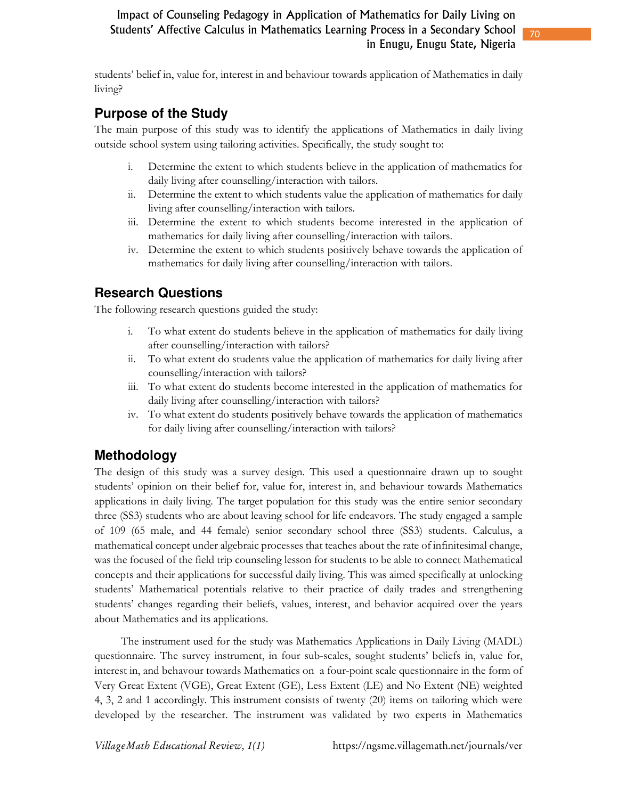students' belief in, value for, interest in and behaviour towards application of Mathematics in daily living?

## **Purpose of the Study**

The main purpose of this study was to identify the applications of Mathematics in daily living outside school system using tailoring activities. Specifically, the study sought to:

- i. Determine the extent to which students believe in the application of mathematics for daily living after counselling/interaction with tailors.
- ii. Determine the extent to which students value the application of mathematics for daily living after counselling/interaction with tailors.
- iii. Determine the extent to which students become interested in the application of mathematics for daily living after counselling/interaction with tailors.
- iv. Determine the extent to which students positively behave towards the application of mathematics for daily living after counselling/interaction with tailors.

## **Research Questions**

The following research questions guided the study:

- i. To what extent do students believe in the application of mathematics for daily living after counselling/interaction with tailors?
- ii. To what extent do students value the application of mathematics for daily living after counselling/interaction with tailors?
- iii. To what extent do students become interested in the application of mathematics for daily living after counselling/interaction with tailors?
- iv. To what extent do students positively behave towards the application of mathematics for daily living after counselling/interaction with tailors?

## **Methodology**

The design of this study was a survey design. This used a questionnaire drawn up to sought students' opinion on their belief for, value for, interest in, and behaviour towards Mathematics applications in daily living. The target population for this study was the entire senior secondary three (SS3) students who are about leaving school for life endeavors. The study engaged a sample of 109 (65 male, and 44 female) senior secondary school three (SS3) students. Calculus, a mathematical concept under algebraic processes that teaches about the rate of infinitesimal change, was the focused of the field trip counseling lesson for students to be able to connect Mathematical concepts and their applications for successful daily living. This was aimed specifically at unlocking students' Mathematical potentials relative to their practice of daily trades and strengthening students' changes regarding their beliefs, values, interest, and behavior acquired over the years about Mathematics and its applications.

The instrument used for the study was Mathematics Applications in Daily Living (MADL) questionnaire. The survey instrument, in four sub-scales, sought students' beliefs in, value for, interest in, and behavour towards Mathematics on a four-point scale questionnaire in the form of Very Great Extent (VGE), Great Extent (GE), Less Extent (LE) and No Extent (NE) weighted 4, 3, 2 and 1 accordingly. This instrument consists of twenty (20) items on tailoring which were developed by the researcher. The instrument was validated by two experts in Mathematics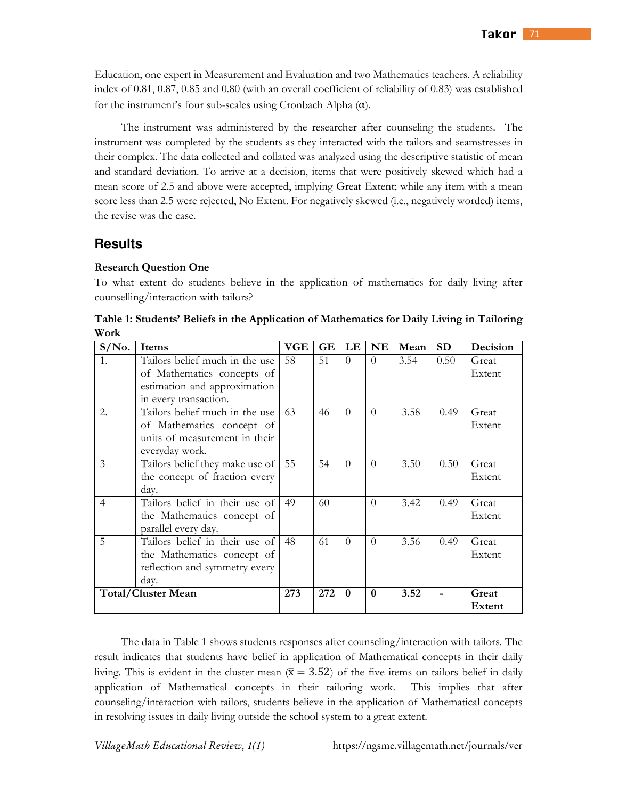Education, one expert in Measurement and Evaluation and two Mathematics teachers. A reliability index of 0.81, 0.87, 0.85 and 0.80 (with an overall coefficient of reliability of 0.83) was established for the instrument's four sub-scales using Cronbach Alpha  $(\alpha)$ .

The instrument was administered by the researcher after counseling the students. The instrument was completed by the students as they interacted with the tailors and seamstresses in their complex. The data collected and collated was analyzed using the descriptive statistic of mean and standard deviation. To arrive at a decision, items that were positively skewed which had a mean score of 2.5 and above were accepted, implying Great Extent; while any item with a mean score less than 2.5 were rejected, No Extent. For negatively skewed (i.e., negatively worded) items, the revise was the case.

### **Results**

#### **Research Question One**

To what extent do students believe in the application of mathematics for daily living after counselling/interaction with tailors?

| $S/N0$ .       | Items                                                                                                          | VGE | <b>GE</b> | LE           | <b>NE</b> | Mean | <b>SD</b> | Decision        |
|----------------|----------------------------------------------------------------------------------------------------------------|-----|-----------|--------------|-----------|------|-----------|-----------------|
| 1.             | Tailors belief much in the use<br>of Mathematics concepts of                                                   | 58  | 51        | $\Omega$     | $\Omega$  | 3.54 | 0.50      | Great<br>Extent |
|                | estimation and approximation<br>in every transaction.                                                          |     |           |              |           |      |           |                 |
| 2.             | Tailors belief much in the use<br>of Mathematics concept of<br>units of measurement in their<br>everyday work. | 63  | 46        | $\Omega$     | $\Omega$  | 3.58 | 0.49      | Great<br>Extent |
| 3              | Tailors belief they make use of<br>the concept of fraction every<br>day.                                       | 55  | 54        | $\Omega$     | $\Omega$  | 3.50 | 0.50      | Great<br>Extent |
| $\overline{4}$ | Tailors belief in their use of<br>the Mathematics concept of<br>parallel every day.                            | 49  | 60        |              | $\Omega$  | 3.42 | 0.49      | Great<br>Extent |
| 5              | Tailors belief in their use of<br>the Mathematics concept of<br>reflection and symmetry every<br>day.          | 48  | 61        | $\theta$     | $\Omega$  | 3.56 | 0.49      | Great<br>Extent |
|                | <b>Total/Cluster Mean</b>                                                                                      | 273 | 272       | $\mathbf{0}$ | $\bf{0}$  | 3.52 |           | Great<br>Extent |

**Table 1: Students' Beliefs in the Application of Mathematics for Daily Living in Tailoring Work** 

The data in Table 1 shows students responses after counseling/interaction with tailors. The result indicates that students have belief in application of Mathematical concepts in their daily living. This is evident in the cluster mean  $(\bar{x} = 3.52)$  of the five items on tailors belief in daily application of Mathematical concepts in their tailoring work. This implies that after counseling/interaction with tailors, students believe in the application of Mathematical concepts in resolving issues in daily living outside the school system to a great extent.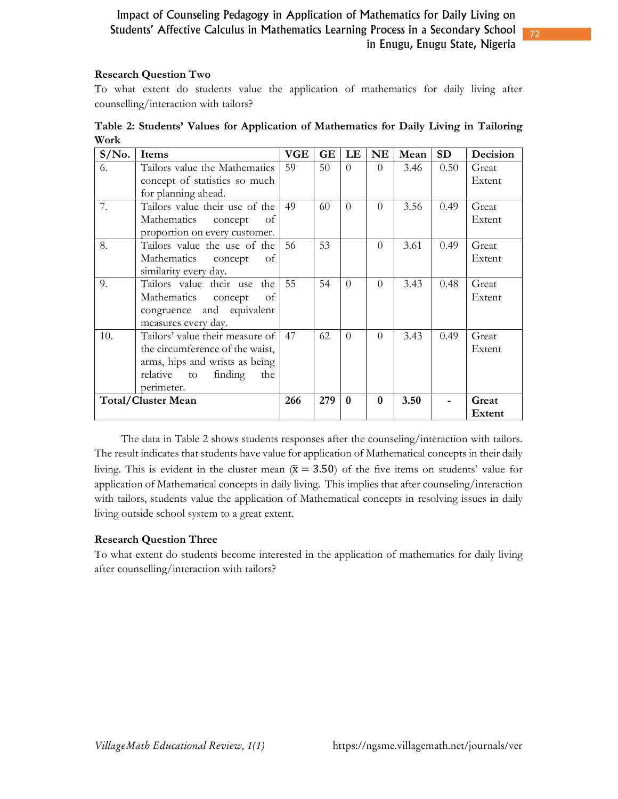#### **Research Question Two**

To what extent do students value the application of mathematics for daily living after counselling/interaction with tailors?

| $S/N0$ .                  | Items                           | <b>VGE</b> | GE  | LE       | <b>NE</b> | Mean | <b>SD</b> | Decision |
|---------------------------|---------------------------------|------------|-----|----------|-----------|------|-----------|----------|
| 6.                        | Tailors value the Mathematics   | 59         | 50  | $\theta$ | $\Omega$  | 3.46 | 0.50      | Great    |
|                           | concept of statistics so much   |            |     |          |           |      |           | Extent   |
|                           | for planning ahead.             |            |     |          |           |      |           |          |
| 7.                        | Tailors value their use of the  | 49         | 60  | $\Omega$ | $\Omega$  | 3.56 | 0.49      | Great    |
|                           | Mathematics concept<br>of       |            |     |          |           |      |           | Extent   |
|                           | proportion on every customer.   |            |     |          |           |      |           |          |
| 8.                        | Tailors value the use of the    | 56         | 53  |          | $\Omega$  | 3.61 | 0.49      | Great    |
|                           | Mathematics concept<br>- of     |            |     |          |           |      |           | Extent   |
|                           | similarity every day.           |            |     |          |           |      |           |          |
| 9.                        | Tailors value their use the     | 55         | 54  | $\Omega$ | $\Omega$  | 3.43 | 0.48      | Great    |
|                           | Mathematics<br>concept<br>- of  |            |     |          |           |      |           | Extent   |
|                           | congruence and equivalent       |            |     |          |           |      |           |          |
|                           | measures every day.             |            |     |          |           |      |           |          |
| 10.                       | Tailors' value their measure of | 47         | 62  | $\Omega$ | $\Omega$  | 3.43 | 0.49      | Great    |
|                           | the circumference of the waist, |            |     |          |           |      |           | Extent   |
|                           | arms, hips and wrists as being  |            |     |          |           |      |           |          |
|                           | relative to finding<br>the      |            |     |          |           |      |           |          |
|                           | perimeter.                      |            |     |          |           |      |           |          |
| <b>Total/Cluster Mean</b> |                                 | 266        | 279 | $\bf{0}$ | $\bf{0}$  | 3.50 |           | Great    |
|                           |                                 |            |     |          |           |      |           | Extent   |

**Table 2: Students' Values for Application of Mathematics for Daily Living in Tailoring Work** 

The data in Table 2 shows students responses after the counseling/interaction with tailors. The result indicates that students have value for application of Mathematical concepts in their daily living. This is evident in the cluster mean  $(\bar{x} = 3.50)$  of the five items on students' value for application of Mathematical concepts in daily living. This implies that after counseling/interaction with tailors, students value the application of Mathematical concepts in resolving issues in daily living outside school system to a great extent.

#### **Research Question Three**

To what extent do students become interested in the application of mathematics for daily living after counselling/interaction with tailors?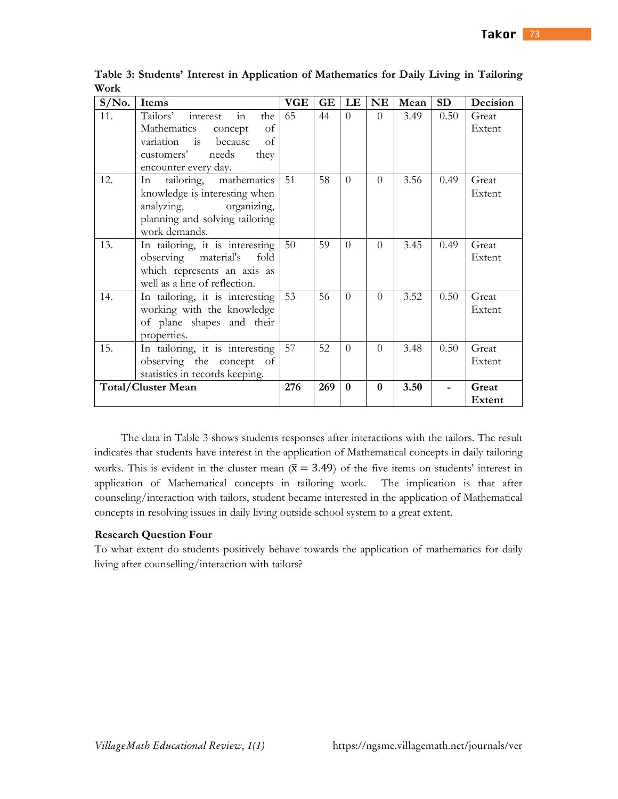| $S/N0$ .                  | Items                                                                                                                                                                                | <b>VGE</b> | GE  | LE           | NE           | Mean | <b>SD</b> | Decision               |
|---------------------------|--------------------------------------------------------------------------------------------------------------------------------------------------------------------------------------|------------|-----|--------------|--------------|------|-----------|------------------------|
| 11.                       | $\overline{m}$<br>interest<br>Tailors'<br>the<br>Mathematics<br>of<br>concept<br>because<br>of<br>variation<br>$\frac{1}{15}$<br>needs<br>they<br>customers'<br>encounter every day. | 65         | 44  | $\theta$     | $\Omega$     | 3.49 | 0.50      | Great<br>Extent        |
| 12.                       | tailoring, mathematics<br>In<br>knowledge is interesting when<br>analyzing, organizing,<br>planning and solving tailoring<br>work demands.                                           | 51         | 58  | $\Omega$     | $\Omega$     | 3.56 | 0.49      | Great<br>Extent        |
| 13.                       | In tailoring, it is interesting<br>observing material's fold<br>which represents an axis as<br>well as a line of reflection.                                                         | 50         | 59  | $\Omega$     | $\Omega$     | 3.45 | 0.49      | Great<br>Extent        |
| 14.                       | In tailoring, it is interesting<br>working with the knowledge<br>of plane shapes and their<br>properties.                                                                            | 53         | 56  | $\Omega$     | $\Omega$     | 3.52 | 0.50      | Great<br>Extent        |
| 15.                       | In tailoring, it is interesting<br>observing the concept of<br>statistics in records keeping.                                                                                        | 57         | 52  | $\Omega$     | $\Omega$     | 3.48 | 0.50      | Great<br>Extent        |
| <b>Total/Cluster Mean</b> |                                                                                                                                                                                      | 276        | 269 | $\mathbf{0}$ | $\mathbf{0}$ | 3.50 |           | Great<br><b>Extent</b> |

**Table 3: Students' Interest in Application of Mathematics for Daily Living in Tailoring Work** 

The data in Table 3 shows students responses after interactions with the tailors. The result indicates that students have interest in the application of Mathematical concepts in daily tailoring works. This is evident in the cluster mean ( $\bar{x} = 3.49$ ) of the five items on students' interest in application of Mathematical concepts in tailoring work. The implication is that after counseling/interaction with tailors, student became interested in the application of Mathematical concepts in resolving issues in daily living outside school system to a great extent.

#### **Research Question Four**

To what extent do students positively behave towards the application of mathematics for daily living after counselling/interaction with tailors?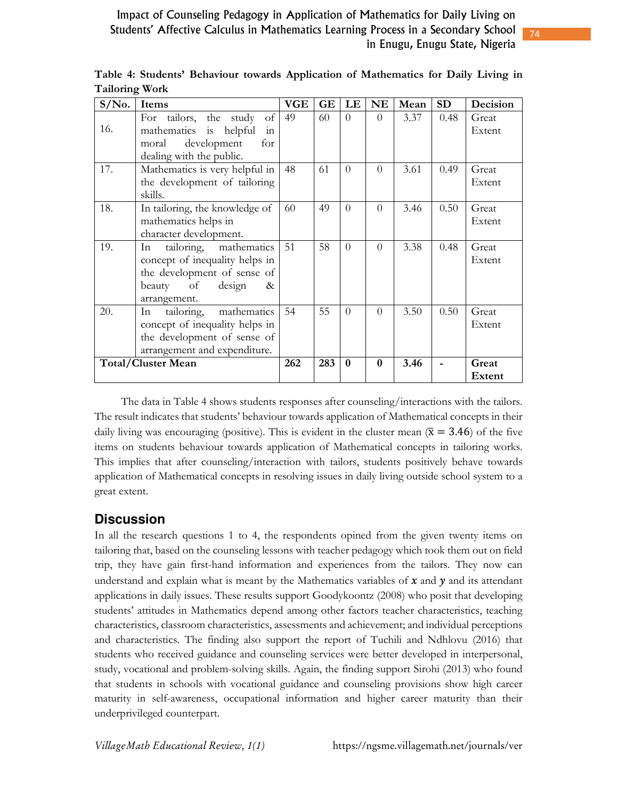| $S/N0$ .                  | Items                           | <b>VGE</b> | <b>GE</b> | LE       | <b>NE</b> | Mean | <b>SD</b> | Decision |
|---------------------------|---------------------------------|------------|-----------|----------|-----------|------|-----------|----------|
|                           | For tailors, the study<br>of    | 49         | 60        | $\Omega$ | $\Omega$  | 3.37 | 0.48      | Great    |
| 16.                       | mathematics is helpful<br>in    |            |           |          |           |      |           | Extent   |
|                           | development<br>for<br>moral     |            |           |          |           |      |           |          |
|                           | dealing with the public.        |            |           |          |           |      |           |          |
| 17.                       | Mathematics is very helpful in  | 48         | 61        | $\Omega$ | $\Omega$  | 3.61 | 0.49      | Great    |
|                           | the development of tailoring    |            |           |          |           |      |           | Extent   |
|                           | skills.                         |            |           |          |           |      |           |          |
| 18.                       | In tailoring, the knowledge of  | 60         | 49        | $\theta$ | $\Omega$  | 3.46 | 0.50      | Great    |
|                           | mathematics helps in            |            |           |          |           |      |           | Extent   |
|                           | character development.          |            |           |          |           |      |           |          |
| 19.                       | mathematics<br>tailoring,<br>In | 51         | 58        | $\Omega$ | $\Omega$  | 3.38 | 0.48      | Great    |
|                           | concept of inequality helps in  |            |           |          |           |      |           | Extent   |
|                           | the development of sense of     |            |           |          |           |      |           |          |
|                           | of<br>design<br>beauty<br>&     |            |           |          |           |      |           |          |
|                           | arrangement.                    |            |           |          |           |      |           |          |
| 20.                       | mathematics<br>tailoring,<br>In | 54         | 55        | $\theta$ | $\Omega$  | 3.50 | 0.50      | Great    |
|                           | concept of inequality helps in  |            |           |          |           |      |           | Extent   |
|                           | the development of sense of     |            |           |          |           |      |           |          |
|                           | arrangement and expenditure.    |            |           |          |           |      |           |          |
| <b>Total/Cluster Mean</b> |                                 | 262        | 283       | $\bf{0}$ | $\bf{0}$  | 3.46 |           | Great    |
|                           |                                 |            |           |          |           |      |           | Extent   |

**Table 4: Students' Behaviour towards Application of Mathematics for Daily Living in Tailoring Work** 

The data in Table 4 shows students responses after counseling/interactions with the tailors. The result indicates that students' behaviour towards application of Mathematical concepts in their daily living was encouraging (positive). This is evident in the cluster mean ( $\bar{x} = 3.46$ ) of the five items on students behaviour towards application of Mathematical concepts in tailoring works. This implies that after counseling/interaction with tailors, students positively behave towards application of Mathematical concepts in resolving issues in daily living outside school system to a great extent.

## **Discussion**

In all the research questions 1 to 4, the respondents opined from the given twenty items on tailoring that, based on the counseling lessons with teacher pedagogy which took them out on field trip, they have gain first-hand information and experiences from the tailors. They now can understand and explain what is meant by the Mathematics variables of *x* and *y* and its attendant applications in daily issues. These results support Goodykoontz (2008) who posit that developing students' attitudes in Mathematics depend among other factors teacher characteristics, teaching characteristics, classroom characteristics, assessments and achievement; and individual perceptions and characteristics. The finding also support the report of Tuchili and Ndhlovu (2016) that students who received guidance and counseling services were better developed in interpersonal, study, vocational and problem-solving skills. Again, the finding support Sirohi (2013) who found that students in schools with vocational guidance and counseling provisions show high career maturity in self-awareness, occupational information and higher career maturity than their underprivileged counterpart.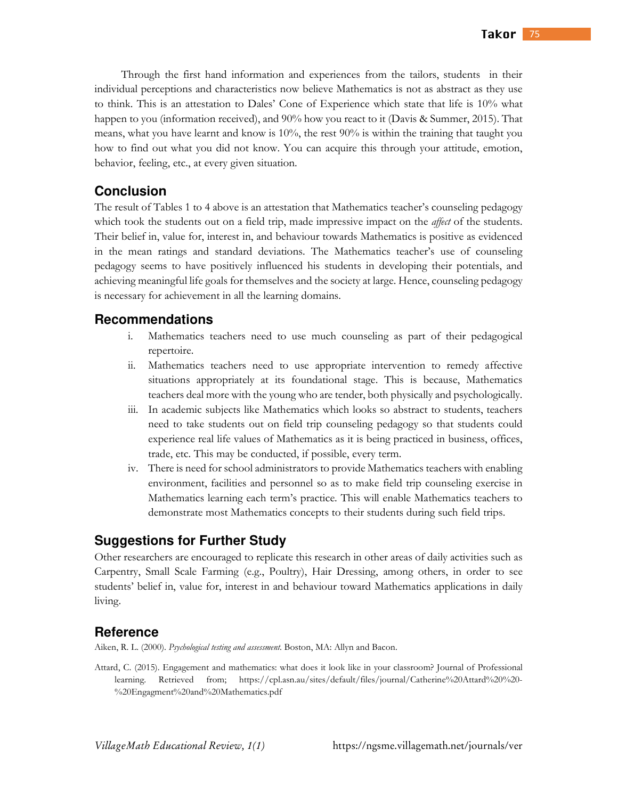Through the first hand information and experiences from the tailors, students in their individual perceptions and characteristics now believe Mathematics is not as abstract as they use to think. This is an attestation to Dales' Cone of Experience which state that life is 10% what happen to you (information received), and 90% how you react to it (Davis & Summer, 2015). That means, what you have learnt and know is 10%, the rest 90% is within the training that taught you how to find out what you did not know. You can acquire this through your attitude, emotion, behavior, feeling, etc., at every given situation.

### **Conclusion**

The result of Tables 1 to 4 above is an attestation that Mathematics teacher's counseling pedagogy which took the students out on a field trip, made impressive impact on the *affect* of the students. Their belief in, value for, interest in, and behaviour towards Mathematics is positive as evidenced in the mean ratings and standard deviations. The Mathematics teacher's use of counseling pedagogy seems to have positively influenced his students in developing their potentials, and achieving meaningful life goals for themselves and the society at large. Hence, counseling pedagogy is necessary for achievement in all the learning domains.

#### **Recommendations**

- i. Mathematics teachers need to use much counseling as part of their pedagogical repertoire.
- ii. Mathematics teachers need to use appropriate intervention to remedy affective situations appropriately at its foundational stage. This is because, Mathematics teachers deal more with the young who are tender, both physically and psychologically.
- iii. In academic subjects like Mathematics which looks so abstract to students, teachers need to take students out on field trip counseling pedagogy so that students could experience real life values of Mathematics as it is being practiced in business, offices, trade, etc. This may be conducted, if possible, every term.
- iv. There is need for school administrators to provide Mathematics teachers with enabling environment, facilities and personnel so as to make field trip counseling exercise in Mathematics learning each term's practice. This will enable Mathematics teachers to demonstrate most Mathematics concepts to their students during such field trips.

### **Suggestions for Further Study**

Other researchers are encouraged to replicate this research in other areas of daily activities such as Carpentry, Small Scale Farming (e.g., Poultry), Hair Dressing, among others, in order to see students' belief in, value for, interest in and behaviour toward Mathematics applications in daily living.

#### **Reference**

Aiken, R. L. (2000). *Psychological testing and assessment*. Boston, MA: Allyn and Bacon.

Attard, C. (2015). Engagement and mathematics: what does it look like in your classroom? Journal of Professional learning. Retrieved from; https://cpl.asn.au/sites/default/files/journal/Catherine%20Attard%20%20- %20Engagment%20and%20Mathematics.pdf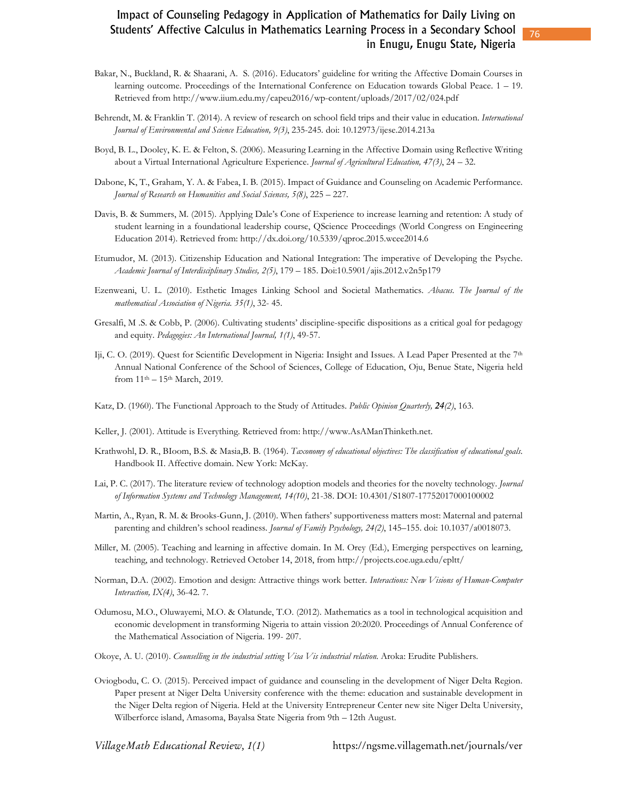- Bakar, N., Buckland, R. & Shaarani, A. S. (2016). Educators' guideline for writing the Affective Domain Courses in learning outcome. Proceedings of the International Conference on Education towards Global Peace. 1 – 19. Retrieved from http://www.iium.edu.my/capeu2016/wp-content/uploads/2017/02/024.pdf
- Behrendt, M. & Franklin T. (2014). A review of research on school field trips and their value in education. *International Journal of Environmental and Science Education, 9(3)*, 235-245. doi: 10.12973/ijese.2014.213a
- Boyd, B. L., Dooley, K. E. & Felton, S. (2006). Measuring Learning in the Affective Domain using Reflective Writing about a Virtual International Agriculture Experience. *Journal of Agricultural Education, 47(3)*, 24 – 32.
- Dabone, K, T., Graham, Y. A. & Fabea, I. B. (2015). Impact of Guidance and Counseling on Academic Performance. *Journal of Research on Humanities and Social Sciences, 5(8)*, 225 – 227.
- Davis, B. & Summers, M. (2015). Applying Dale's Cone of Experience to increase learning and retention: A study of student learning in a foundational leadership course, QScience Proceedings (World Congress on Engineering Education 2014). Retrieved from: http://dx.doi.org/10.5339/qproc.2015.wcee2014.6
- Etumudor, M. (2013). Citizenship Education and National Integration: The imperative of Developing the Psyche. *Academic Journal of Interdisciplinary Studies, 2(5)*, 179 – 185. Doi:10.5901/ajis.2012.v2n5p179
- Ezenweani, U. L. (2010). Esthetic Images Linking School and Societal Mathematics. *Abacus. The Journal of the mathematical Association of Nigeria. 35(1)*, 32- 45.
- Gresalfi, M .S. & Cobb, P. (2006). Cultivating students' discipline-specific dispositions as a critical goal for pedagogy and equity. *Pedagogies: An International Journal, 1(1)*, 49-57.
- Iji, C. O. (2019). Quest for Scientific Development in Nigeria: Insight and Issues. A Lead Paper Presented at the 7<sup>th</sup> Annual National Conference of the School of Sciences, College of Education, Oju, Benue State, Nigeria held from  $11^{th} - 15^{th}$  March, 2019.
- Katz, D. (1960). The Functional Approach to the Study of Attitudes. *Public Opinion Quarterly, 24(2)*, 163.
- Keller, J. (2001). Attitude is Everything. Retrieved from: http://www.AsAManThinketh.net.
- Krathwohl, D. R., BIoom, B.S. & Masia,B. B. (1964). *Taxonomy of educational objectives: The classification of educational goals*. Handbook II. Affective domain. New York: McKay.
- Lai, P. C. (2017). The literature review of technology adoption models and theories for the novelty technology. *Journal of Information Systems and Technology Management, 14(10)*, 21-38. DOI: 10.4301/S1807-17752017000100002
- Martin, A., Ryan, R. M. & Brooks-Gunn, J. (2010). When fathers' supportiveness matters most: Maternal and paternal parenting and children's school readiness. *Journal of Family Psychology, 24(2)*, 145–155. doi: 10.1037/a0018073.
- Miller, M. (2005). Teaching and learning in affective domain. In M. Orey (Ed.), Emerging perspectives on learning, teaching, and technology. Retrieved October 14, 2018, from http://projects.coe.uga.edu/epltt/
- Norman, D.A. (2002). Emotion and design: Attractive things work better. *Interactions: New Visions of Human-Computer Interaction, IX(4)*, 36-42. 7.
- Odumosu, M.O., Oluwayemi, M.O. & Olatunde, T.O. (2012). Mathematics as a tool in technological acquisition and economic development in transforming Nigeria to attain vission 20:2020. Proceedings of Annual Conference of the Mathematical Association of Nigeria. 199- 207.
- Okoye, A. U. (2010). *Counselling in the industrial setting Visa Vis industrial relation*. Aroka: Erudite Publishers.
- Oviogbodu, C. O. (2015). Perceived impact of guidance and counseling in the development of Niger Delta Region. Paper present at Niger Delta University conference with the theme: education and sustainable development in the Niger Delta region of Nigeria. Held at the University Entrepreneur Center new site Niger Delta University, Wilberforce island, Amasoma, Bayalsa State Nigeria from 9th – 12th August.